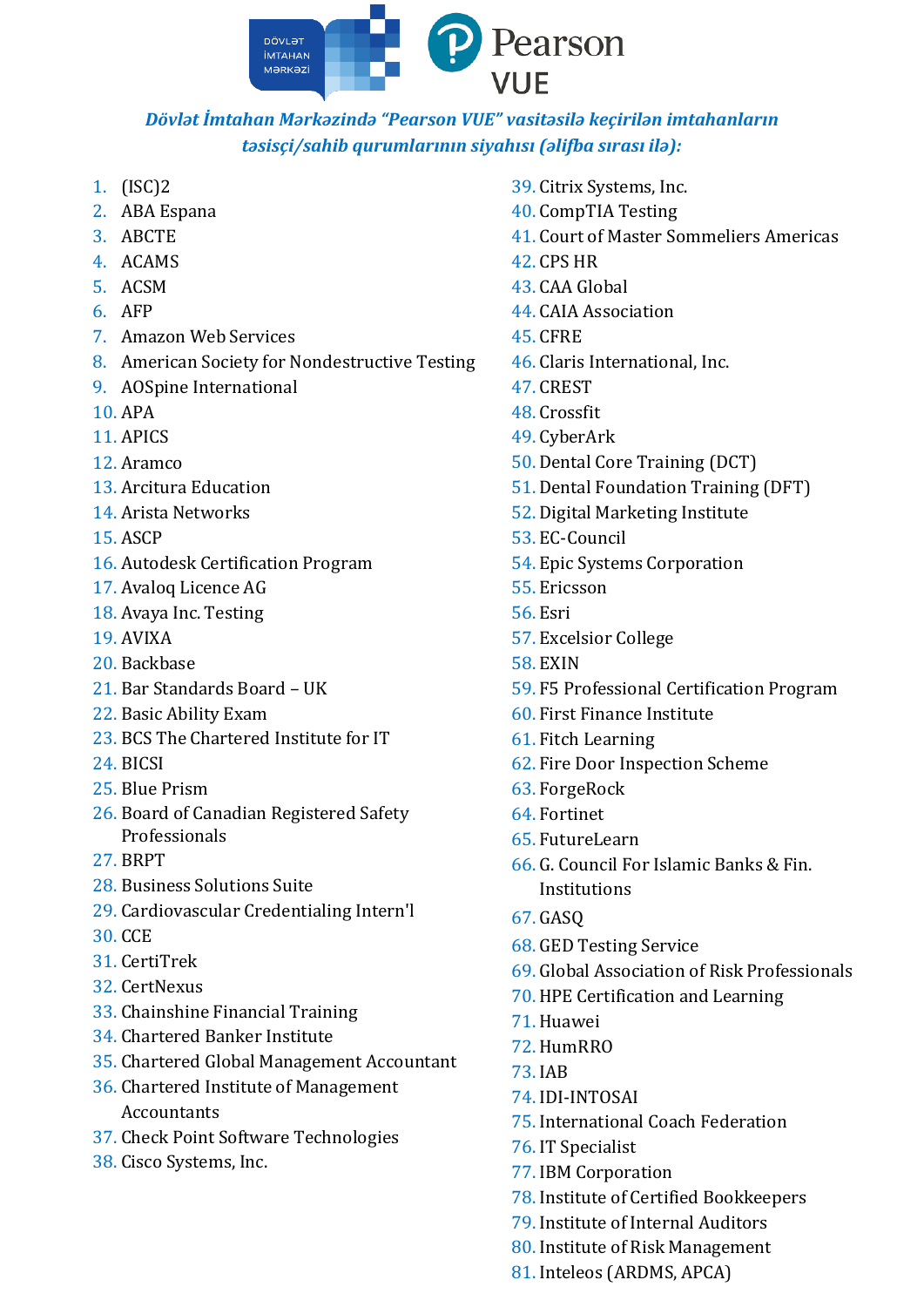

## *Dövlət İmtahan Mərkəzində "Pearson VUE" vasitəsilə keçirilən imtahanların təsisçi/sahib qurumlarının siyahısı (əlifba sırası ilə):*

- 1. (ISC)2
- 2. ABA Espana
- 3. ABCTE
- 4. ACAMS
- 5. ACSM
- 6. AFP
- 7. Amazon Web Services
- 8. American Society for Nondestructive Testing
- 9. AOSpine International
- 10. APA
- 11. APICS
- 12. Aramco
- 13. Arcitura Education
- 14. Arista Networks
- 15. ASCP
- 16. Autodesk Certification Program
- 17. Avaloq Licence AG
- 18. Avaya Inc. Testing
- 19. AVIXA
- 20. Backbase
- 21. Bar Standards Board UK
- 22. Basic Ability Exam
- 23. BCS The Chartered Institute for IT
- 24. BICSI
- 25. Blue Prism
- 26. Board of Canadian Registered Safety Professionals
- 27. BRPT
- 28. Business Solutions Suite
- 29. Cardiovascular Credentialing Intern'l
- 30. CCE
- 31. CertiTrek
- 32. CertNexus
- 33. Chainshine Financial Training
- 34. Chartered Banker Institute
- 35. Chartered Global Management Accountant
- 36. Chartered Institute of Management Accountants
- 37. Check Point Software Technologies
- 38. Cisco Systems, Inc.
- 39. Citrix Systems, Inc.
- 40. CompTIA Testing
- 41. Court of Master Sommeliers Americas
- 42. CPS HR
- 43. CAA Global
- 44. CAIA Association
- 45. CFRE
- 46. Claris International, Inc.
- 47. CREST
- 48. Crossfit
- 49. CyberArk
- 50. Dental Core Training (DCT)
- 51. Dental Foundation Training (DFT)
- 52. Digital Marketing Institute
- 53. EC-Council
- 54. Epic Systems Corporation
- 55. Ericsson
- 56. Esri
- 57. Excelsior College
- 58. EXIN
- 59. F5 Professional Certification Program
- 60. First Finance Institute
- 61. Fitch Learning
- 62. Fire Door Inspection Scheme
- 63. ForgeRock
- 64. Fortinet
- 65. FutureLearn
- 66. G. Council For Islamic Banks & Fin. Institutions
- 67. GASQ
- 68. GED Testing Service
- 69. Global Association of Risk Professionals
- 70. HPE Certification and Learning
- 71. Huawei
- 72. HumRRO
- 73. IAB
- 74. IDI-INTOSAI
- 75. International Coach Federation
- 76. IT Specialist
- 77. IBM Corporation
- 78. Institute of Certified Bookkeepers
- 79. Institute of Internal Auditors
- 80. Institute of Risk Management
- 81. Inteleos (ARDMS, APCA)